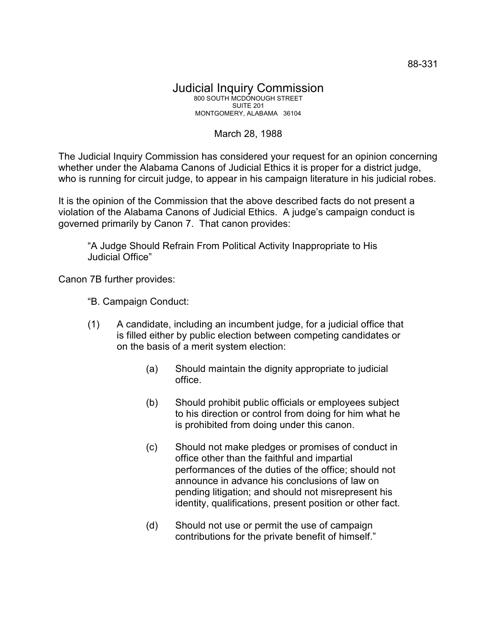## March 28, 1988

The Judicial Inquiry Commission has considered your request for an opinion concerning whether under the Alabama Canons of Judicial Ethics it is proper for a district judge, who is running for circuit judge, to appear in his campaign literature in his judicial robes.

It is the opinion of the Commission that the above described facts do not present a violation of the Alabama Canons of Judicial Ethics. A judge's campaign conduct is governed primarily by Canon 7. That canon provides:

"A Judge Should Refrain From Political Activity Inappropriate to His Judicial Office"

Canon 7B further provides:

- "B. Campaign Conduct:
- (1) A candidate, including an incumbent judge, for a judicial office that is filled either by public election between competing candidates or on the basis of a merit system election:
	- (a) Should maintain the dignity appropriate to judicial office.
	- (b) Should prohibit public officials or employees subject to his direction or control from doing for him what he is prohibited from doing under this canon.
	- (c) Should not make pledges or promises of conduct in office other than the faithful and impartial performances of the duties of the office; should not announce in advance his conclusions of law on pending litigation; and should not misrepresent his identity, qualifications, present position or other fact.
	- (d) Should not use or permit the use of campaign contributions for the private benefit of himself."